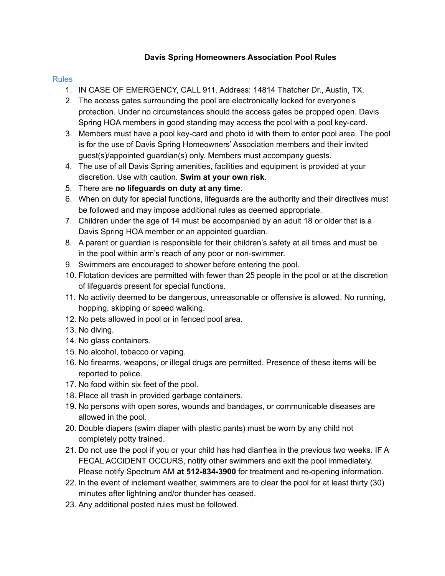## **Davis Spring Homeowners Association Pool Rules**

## Rules

- 1. IN CASE OF EMERGENCY, CALL 911. Address: 14814 Thatcher Dr., Austin, TX.
- 2. The access gates surrounding the pool are electronically locked for everyone's protection. Under no circumstances should the access gates be propped open. Davis Spring HOA members in good standing may access the pool with a pool key-card.
- 3. Members must have a pool key-card and photo id with them to enter pool area. The pool is for the use of Davis Spring Homeowners' Association members and their invited guest(s)/appointed guardian(s) only. Members must accompany guests.
- 4. The use of all Davis Spring amenities, facilities and equipment is provided at your discretion. Use with caution. **Swim at your own risk**.
- 5. There are **no lifeguards on duty at any time**.
- 6. When on duty for special functions, lifeguards are the authority and their directives must be followed and may impose additional rules as deemed appropriate.
- 7. Children under the age of 14 must be accompanied by an adult 18 or older that is a Davis Spring HOA member or an appointed guardian.
- 8. A parent or guardian is responsible for their children's safety at all times and must be in the pool within arm's reach of any poor or non-swimmer.
- 9. Swimmers are encouraged to shower before entering the pool.
- 10. Flotation devices are permitted with fewer than 25 people in the pool or at the discretion of lifeguards present for special functions.
- 11. No activity deemed to be dangerous, unreasonable or offensive is allowed. No running, hopping, skipping or speed walking.
- 12. No pets allowed in pool or in fenced pool area.
- 13. No diving.
- 14. No glass containers.
- 15. No alcohol, tobacco or vaping.
- 16. No firearms, weapons, or illegal drugs are permitted. Presence of these items will be reported to police.
- 17. No food within six feet of the pool.
- 18. Place all trash in provided garbage containers.
- 19. No persons with open sores, wounds and bandages, or communicable diseases are allowed in the pool.
- 20. Double diapers (swim diaper with plastic pants) must be worn by any child not completely potty trained.
- 21. Do not use the pool if you or your child has had diarrhea in the previous two weeks. IF A FECAL ACCIDENT OCCURS, notify other swimmers and exit the pool immediately. Please notify Spectrum AM **at 512-834-3900** for treatment and re-opening information.
- 22. In the event of inclement weather, swimmers are to clear the pool for at least thirty (30) minutes after lightning and/or thunder has ceased.
- 23. Any additional posted rules must be followed.